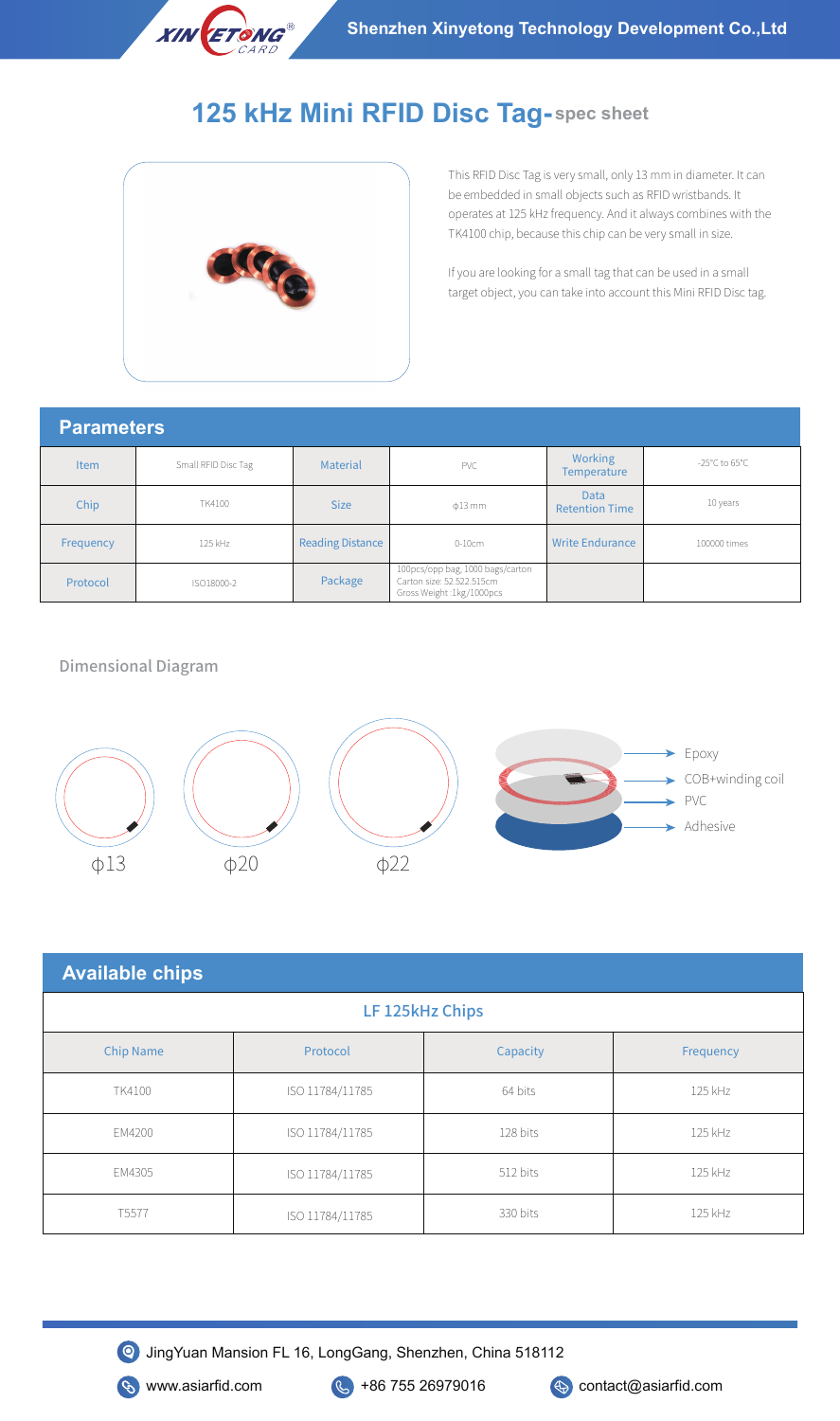

## **125 kHz Mini RFID Disc Tag- spec sheet**



This RFID Disc Tag is very small, only 13 mm in diameter. It can be embedded in small objects such as RFID wristbands. It operates at 125 kHz frequency. And it always combines with the TK4100 chip, because this chip can be very small in size.

If you are looking for a small tag that can be used in a small target object, you can take into account this Mini RFID Disc tag.

## **Parameters**

| <b>Item</b> | Small RFID Disc Tag | <b>Material</b>         | <b>PVC</b>                                                                                 | <b>Working</b><br><b>Temperature</b> | -25°C to 65°C |
|-------------|---------------------|-------------------------|--------------------------------------------------------------------------------------------|--------------------------------------|---------------|
| Chip        | TK4100              | <b>Size</b>             | $\phi$ 13 mm                                                                               | <b>Data</b><br><b>Retention Time</b> | 10 years      |
| Frequency   | 125 kHz             | <b>Reading Distance</b> | $0-10cm$                                                                                   | <b>Write Endurance</b>               | 100000 times  |
| Protocol    | ISO18000-2          | Package                 | 100pcs/opp bag, 1000 bags/carton<br>Carton size: 52.522.515cm<br>Gross Weight: 1kg/1000pcs |                                      |               |

Dimensional Diagram



| <b>Available chips</b> |                 |          |           |  |  |  |  |
|------------------------|-----------------|----------|-----------|--|--|--|--|
| LF 125kHz Chips        |                 |          |           |  |  |  |  |
| <b>Chip Name</b>       | Protocol        | Capacity | Frequency |  |  |  |  |
| TK4100                 | ISO 11784/11785 | 64 bits  | 125 kHz   |  |  |  |  |
| EM4200                 | ISO 11784/11785 | 128 bits | 125 kHz   |  |  |  |  |
| EM4305                 | ISO 11784/11785 | 512 bits | 125 kHz   |  |  |  |  |
| T <sub>5577</sub>      | ISO 11784/11785 | 330 bits | 125 kHz   |  |  |  |  |



JingYuan Mansion FL 16, LongGang, Shenzhen, China 518112